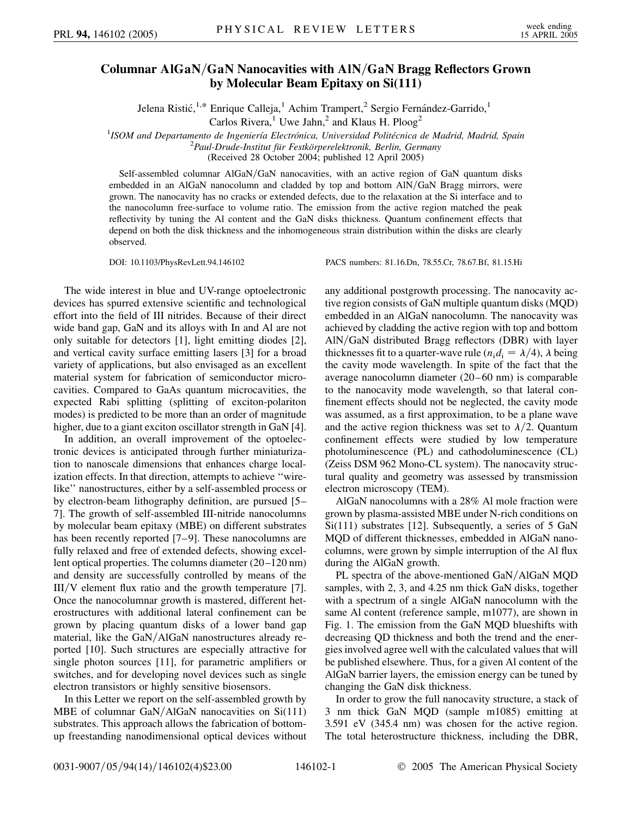## **Columnar AlGaN***=***GaN Nanocavities with AlN***=***GaN Bragg Reflectors Grown by Molecular Beam Epitaxy on Si(111)**

Jelena Ristić,<sup>1,\*</sup> Enrique Calleja,<sup>1</sup> Achim Trampert,<sup>2</sup> Sergio Fernández-Garrido,<sup>1</sup>

Carlos Rivera,<sup>1</sup> Uwe Jahn,<sup>2</sup> and Klaus H. Ploog<sup>2</sup>

<sup>1</sup> ISOM and Departamento de Ingeniería Electrónica, Universidad Politécnica de Madrid, Madrid, Spain<br><sup>2</sup> Paul Drude Institut für Festkörnarglektronik, Barlin, Germany *Paul-Drude-Institut fu¨r Festko¨rperelektronik, Berlin, Germany*

(Received 28 October 2004; published 12 April 2005)

Self-assembled columnar AlGaN/GaN nanocavities, with an active region of GaN quantum disks embedded in an AlGaN nanocolumn and cladded by top and bottom AlN/GaN Bragg mirrors, were grown. The nanocavity has no cracks or extended defects, due to the relaxation at the Si interface and to the nanocolumn free-surface to volume ratio. The emission from the active region matched the peak reflectivity by tuning the Al content and the GaN disks thickness. Quantum confinement effects that depend on both the disk thickness and the inhomogeneous strain distribution within the disks are clearly observed.

DOI: 10.1103/PhysRevLett.94.146102 PACS numbers: 81.16.Dn, 78.55.Cr, 78.67.Bf, 81.15.Hi

The wide interest in blue and UV-range optoelectronic devices has spurred extensive scientific and technological effort into the field of III nitrides. Because of their direct wide band gap, GaN and its alloys with In and Al are not only suitable for detectors [1], light emitting diodes [2], and vertical cavity surface emitting lasers [3] for a broad variety of applications, but also envisaged as an excellent material system for fabrication of semiconductor microcavities. Compared to GaAs quantum microcavities, the expected Rabi splitting (splitting of exciton-polariton modes) is predicted to be more than an order of magnitude higher, due to a giant exciton oscillator strength in GaN [4].

In addition, an overall improvement of the optoelectronic devices is anticipated through further miniaturization to nanoscale dimensions that enhances charge localization effects. In that direction, attempts to achieve ''wirelike'' nanostructures, either by a self-assembled process or by electron-beam lithography definition, are pursued [5– 7]. The growth of self-assembled III-nitride nanocolumns by molecular beam epitaxy (MBE) on different substrates has been recently reported [7–9]. These nanocolumns are fully relaxed and free of extended defects, showing excellent optical properties. The columns diameter (20–120 nm) and density are successfully controlled by means of the III/V element flux ratio and the growth temperature [7]. Once the nanocolumnar growth is mastered, different heterostructures with additional lateral confinement can be grown by placing quantum disks of a lower band gap material, like the GaN/AlGaN nanostructures already reported [10]. Such structures are especially attractive for single photon sources [11], for parametric amplifiers or switches, and for developing novel devices such as single electron transistors or highly sensitive biosensors.

In this Letter we report on the self-assembled growth by MBE of columnar GaN/AlGaN nanocavities on Si(111) substrates. This approach allows the fabrication of bottomup freestanding nanodimensional optical devices without any additional postgrowth processing. The nanocavity active region consists of GaN multiple quantum disks (MQD) embedded in an AlGaN nanocolumn. The nanocavity was achieved by cladding the active region with top and bottom AlN/GaN distributed Bragg reflectors (DBR) with layer thicknesses fit to a quarter-wave rule ( $n_i d_i = \lambda/4$ ),  $\lambda$  being the cavity mode wavelength. In spite of the fact that the average nanocolumn diameter (20–60 nm) is comparable to the nanocavity mode wavelength, so that lateral confinement effects should not be neglected, the cavity mode was assumed, as a first approximation, to be a plane wave and the active region thickness was set to  $\lambda/2$ . Quantum confinement effects were studied by low temperature photoluminescence (PL) and cathodoluminescence (CL) (Zeiss DSM 962 Mono-CL system). The nanocavity structural quality and geometry was assessed by transmission electron microscopy (TEM).

AlGaN nanocolumns with a 28% Al mole fraction were grown by plasma-assisted MBE under N-rich conditions on Si(111) substrates [12]. Subsequently, a series of 5 GaN MQD of different thicknesses, embedded in AlGaN nanocolumns, were grown by simple interruption of the Al flux during the AlGaN growth.

PL spectra of the above-mentioned GaN/AlGaN MOD samples, with 2, 3, and 4.25 nm thick GaN disks, together with a spectrum of a single AlGaN nanocolumn with the same Al content (reference sample, m1077), are shown in Fig. 1. The emission from the GaN MQD blueshifts with decreasing QD thickness and both the trend and the energies involved agree well with the calculated values that will be published elsewhere. Thus, for a given Al content of the AlGaN barrier layers, the emission energy can be tuned by changing the GaN disk thickness.

In order to grow the full nanocavity structure, a stack of 3 nm thick GaN MQD (sample m1085) emitting at 3.591 eV (345.4 nm) was chosen for the active region. The total heterostructure thickness, including the DBR,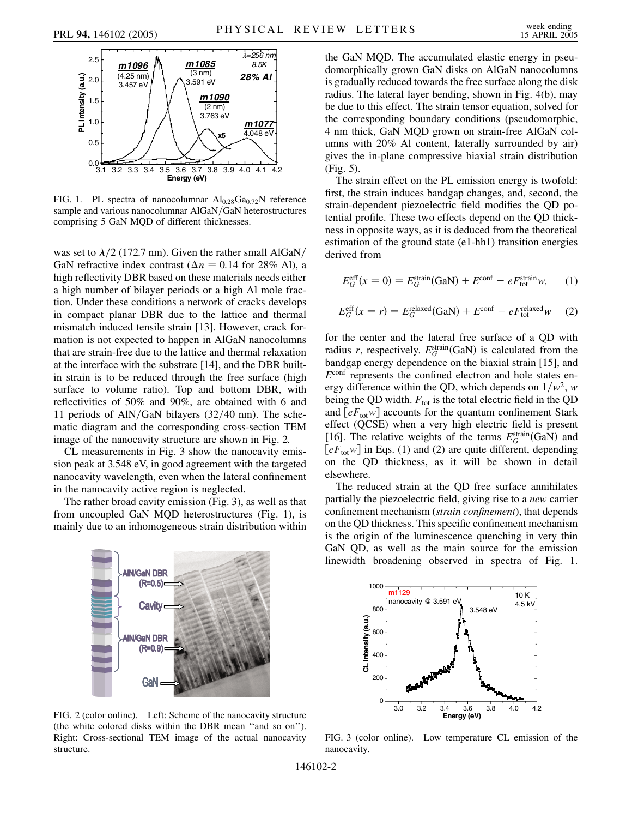

FIG. 1. PL spectra of nanocolumnar Al<sub>0.28</sub>Ga<sub>0.72</sub>N reference sample and various nanocolumnar AlGaN/GaN heterostructures comprising 5 GaN MQD of different thicknesses.

was set to  $\lambda/2$  (172.7 nm). Given the rather small AlGaN/ GaN refractive index contrast ( $\Delta n = 0.14$  for 28% Al), a high reflectivity DBR based on these materials needs either a high number of bilayer periods or a high Al mole fraction. Under these conditions a network of cracks develops in compact planar DBR due to the lattice and thermal mismatch induced tensile strain [13]. However, crack formation is not expected to happen in AlGaN nanocolumns that are strain-free due to the lattice and thermal relaxation at the interface with the substrate [14], and the DBR builtin strain is to be reduced through the free surface (high surface to volume ratio). Top and bottom DBR, with reflectivities of 50% and 90%, are obtained with 6 and 11 periods of AlN/GaN bilayers (32/40 nm). The schematic diagram and the corresponding cross-section TEM image of the nanocavity structure are shown in Fig. 2.

CL measurements in Fig. 3 show the nanocavity emission peak at 3.548 eV, in good agreement with the targeted nanocavity wavelength, even when the lateral confinement in the nanocavity active region is neglected.

The rather broad cavity emission (Fig. 3), as well as that from uncoupled GaN MQD heterostructures (Fig. 1), is mainly due to an inhomogeneous strain distribution within



FIG. 2 (color online). Left: Scheme of the nanocavity structure (the white colored disks within the DBR mean ''and so on''). Right: Cross-sectional TEM image of the actual nanocavity structure.

the GaN MQD. The accumulated elastic energy in pseudomorphically grown GaN disks on AlGaN nanocolumns is gradually reduced towards the free surface along the disk radius. The lateral layer bending, shown in Fig. 4(b), may be due to this effect. The strain tensor equation, solved for the corresponding boundary conditions (pseudomorphic, 4 nm thick, GaN MQD grown on strain-free AlGaN columns with 20% Al content, laterally surrounded by air) gives the in-plane compressive biaxial strain distribution (Fig. 5).

The strain effect on the PL emission energy is twofold: first, the strain induces bandgap changes, and, second, the strain-dependent piezoelectric field modifies the QD potential profile. These two effects depend on the QD thickness in opposite ways, as it is deduced from the theoretical estimation of the ground state (e1-hh1) transition energies derived from

$$
E_G^{\text{eff}}(x=0) = E_G^{\text{strain}}(\text{GaN}) + E^{\text{conf}} - eF_{\text{tot}}^{\text{strain}}w,\qquad(1)
$$

$$
E_G^{\text{eff}}(x=r) = E_G^{\text{relaxed}}(\text{GaN}) + E^{\text{conf}} - eF_{\text{tot}}^{\text{relaxed}}w \quad (2)
$$

for the center and the lateral free surface of a QD with radius *r*, respectively.  $E_G^{\text{strain}}(\text{GaN})$  is calculated from the bandgap energy dependence on the biaxial strain [15], and *E*conf represents the confined electron and hole states energy difference within the QD, which depends on  $1/w^2$ , *w* being the QD width.  $F_{\text{tot}}$  is the total electric field in the QD and  $[eF_{\text{tot}}w]$  accounts for the quantum confinement Stark effect (QCSE) when a very high electric field is present [16]. The relative weights of the terms  $E_G^{\text{strain}}(\text{GaN})$  and  $[eF_{\text{tot}}w]$  in Eqs. (1) and (2) are quite different, depending on the QD thickness, as it will be shown in detail elsewhere.

The reduced strain at the QD free surface annihilates partially the piezoelectric field, giving rise to a *new* carrier confinement mechanism (*strain confinement*), that depends on the QD thickness. This specific confinement mechanism is the origin of the luminescence quenching in very thin GaN QD, as well as the main source for the emission linewidth broadening observed in spectra of Fig. 1.



FIG. 3 (color online). Low temperature CL emission of the nanocavity.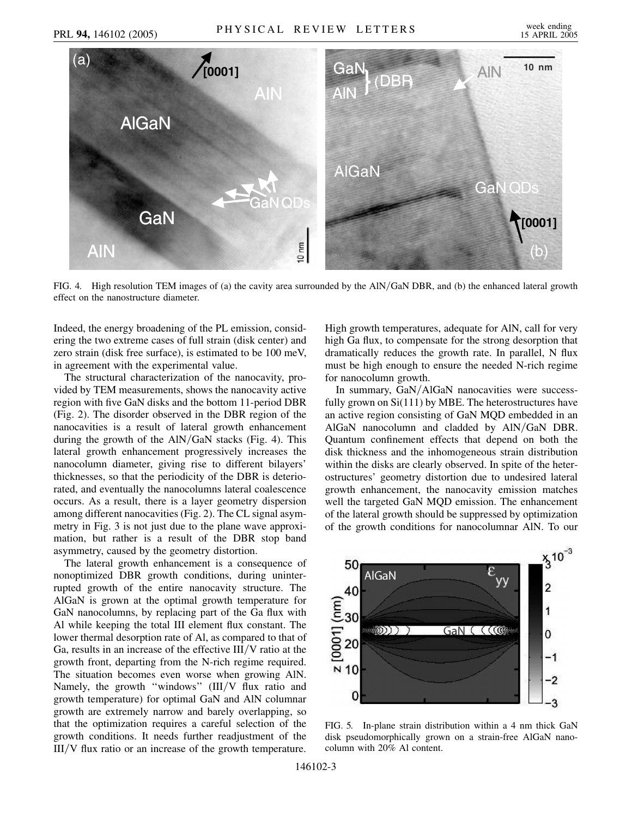

FIG. 4. High resolution TEM images of (a) the cavity area surrounded by the AlN/GaN DBR, and (b) the enhanced lateral growth effect on the nanostructure diameter.

Indeed, the energy broadening of the PL emission, considering the two extreme cases of full strain (disk center) and zero strain (disk free surface), is estimated to be 100 meV, in agreement with the experimental value.

The structural characterization of the nanocavity, provided by TEM measurements, shows the nanocavity active region with five GaN disks and the bottom 11-period DBR (Fig. 2). The disorder observed in the DBR region of the nanocavities is a result of lateral growth enhancement during the growth of the AlN/GaN stacks (Fig. 4). This lateral growth enhancement progressively increases the nanocolumn diameter, giving rise to different bilayers' thicknesses, so that the periodicity of the DBR is deteriorated, and eventually the nanocolumns lateral coalescence occurs. As a result, there is a layer geometry dispersion among different nanocavities (Fig. 2). The CL signal asymmetry in Fig. 3 is not just due to the plane wave approximation, but rather is a result of the DBR stop band asymmetry, caused by the geometry distortion.

The lateral growth enhancement is a consequence of nonoptimized DBR growth conditions, during uninterrupted growth of the entire nanocavity structure. The AlGaN is grown at the optimal growth temperature for GaN nanocolumns, by replacing part of the Ga flux with Al while keeping the total III element flux constant. The lower thermal desorption rate of Al, as compared to that of Ga, results in an increase of the effective III/V ratio at the growth front, departing from the N-rich regime required. The situation becomes even worse when growing AlN. Namely, the growth "windows" (III/V flux ratio and growth temperature) for optimal GaN and AlN columnar growth are extremely narrow and barely overlapping, so that the optimization requires a careful selection of the growth conditions. It needs further readjustment of the III/V flux ratio or an increase of the growth temperature.

High growth temperatures, adequate for AlN, call for very high Ga flux, to compensate for the strong desorption that dramatically reduces the growth rate. In parallel, N flux must be high enough to ensure the needed N-rich regime for nanocolumn growth.

In summary, GaN/AlGaN nanocavities were successfully grown on Si(111) by MBE. The heterostructures have an active region consisting of GaN MQD embedded in an AlGaN nanocolumn and cladded by AlN/GaN DBR. Quantum confinement effects that depend on both the disk thickness and the inhomogeneous strain distribution within the disks are clearly observed. In spite of the heterostructures' geometry distortion due to undesired lateral growth enhancement, the nanocavity emission matches well the targeted GaN MQD emission. The enhancement of the lateral growth should be suppressed by optimization of the growth conditions for nanocolumnar AlN. To our



FIG. 5. In-plane strain distribution within a 4 nm thick GaN disk pseudomorphically grown on a strain-free AlGaN nanocolumn with 20% Al content.